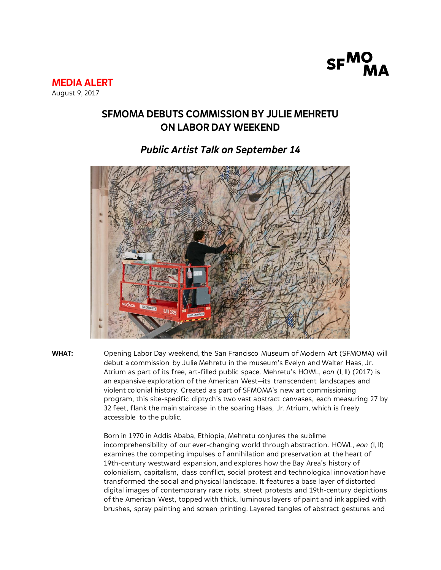

**MEDIA ALERT** August 9, 2017

## **SFMOMA DEBUTS COMMISSION BY JULIE MEHRETU ON LABOR DAY WEEKEND**

## *Public Artist Talk on September 14*



**WHAT:** Opening Labor Day weekend, the San Francisco Museum of Modern Art (SFMOMA) will debut a commission by Julie Mehretu in the museum's Evelyn and Walter Haas, Jr. Atrium as part of its free, art-filled public space. Mehretu's HOWL, *eon* (I, II) (2017) is an expansive exploration of the American West—its transcendent landscapes and violent colonial history. Created as part of SFMOMA's new art commissioning program, this site-specific diptych's two vast abstract canvases, each measuring 27 by 32 feet, flank the main staircase in the soaring Haas, Jr. Atrium, which is freely accessible to the public.

> Born in 1970 in Addis Ababa, Ethiopia, Mehretu conjures the sublime incomprehensibility of our ever-changing world through abstraction. HOWL, *eon* (I, II) examines the competing impulses of annihilation and preservation at the heart of 19th-century westward expansion, and explores how the Bay Area's history of colonialism, capitalism, class conflict, social protest and technological innovation have transformed the social and physical landscape. It features a base layer of distorted digital images of contemporary race riots, street protests and 19th-century depictions of the American West, topped with thick, luminous layers of paint and ink applied with brushes, spray painting and screen printing. Layered tangles of abstract gestures and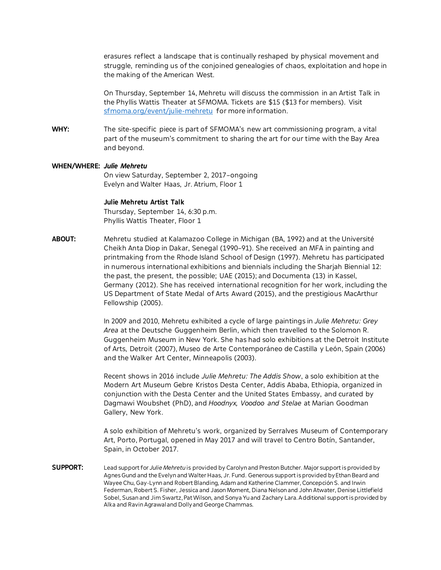erasures reflect a landscape that is continually reshaped by physical movement and struggle, reminding us of the conjoined genealogies of chaos, exploitation and hope in the making of the American West.

On Thursday, September 14, Mehretu will discuss the commission in an Artist Talk in the Phyllis Wattis Theater at SFMOMA. Tickets are \$15 (\$13 for members). Visit [sfmoma.org/event/julie-mehretu](https://www.sfmoma.org/event/julie-mehretu/) for more information.

**WHY:** The site-specific piece is part of SFMOMA's new art commissioning program, a vital part of the museum's commitment to sharing the art for our time with the Bay Area and beyond.

## **WHEN/WHERE:** *Julie Mehretu*

On view Saturday, September 2, 2017–ongoing Evelyn and Walter Haas, Jr. Atrium, Floor 1

## **Julie Mehretu Artist Talk**

Thursday, September 14, 6:30 p.m. Phyllis Wattis Theater, Floor 1

**ABOUT:** Mehretu studied at Kalamazoo College in Michigan (BA, 1992) and at the Université Cheikh Anta Diop in Dakar, Senegal (1990–91). She received an MFA in painting and printmaking from the Rhode Island School of Design (1997). Mehretu has participated in numerous international exhibitions and biennials including the Sharjah Biennial 12: the past, the present, the possible; UAE (2015); and Documenta (13) in Kassel, Germany (2012). She has received international recognition for her work, including the US Department of State Medal of Arts Award (2015), and the prestigious MacArthur Fellowship (2005).

> In 2009 and 2010, Mehretu exhibited a cycle of large paintings in *Julie Mehretu: Grey Area* at the Deutsche Guggenheim Berlin, which then travelled to the Solomon R. Guggenheim Museum in New York. She has had solo exhibitions at the Detroit Institute of Arts, Detroit (2007), Museo de Arte Contemporáneo de Castilla y León, Spain (2006) and the Walker Art Center, Minneapolis (2003).

Recent shows in 2016 include *Julie Mehretu: The Addis Show*, a solo exhibition at the Modern Art Museum Gebre Kristos Desta Center, Addis Ababa, Ethiopia, organized in conjunction with the Desta Center and the United States Embassy, and curated by Dagmawi Woubshet (PhD), and *Hoodnyx, Voodoo and Stelae* at Marian Goodman Gallery, New York.

A solo exhibition of Mehretu's work, organized by Serralves Museum of Contemporary Art, Porto, Portugal, opened in May 2017 and will travel to Centro Botín, Santander, Spain, in October 2017.

**SUPPORT:** Lead support for *Julie Mehretu* is provided by Carolyn and Preston Butcher. Major support is provided by Agnes Gund and the Evelyn and Walter Haas, Jr. Fund. Generous support is provided by Ethan Beard and Wayee Chu, Gay-Lynn and Robert Blanding, Adam and Katherine Clammer, Concepción S. and Irwin Federman, Robert S. Fisher, Jessica and Jason Moment, Diana Nelson and John Atwater, Denise Littlefield Sobel, Susan and Jim Swartz, Pat Wilson, and Sonya Yu and Zachary Lara. Additional support is provided by Alka and Ravin Agrawal and Dolly and George Chammas.